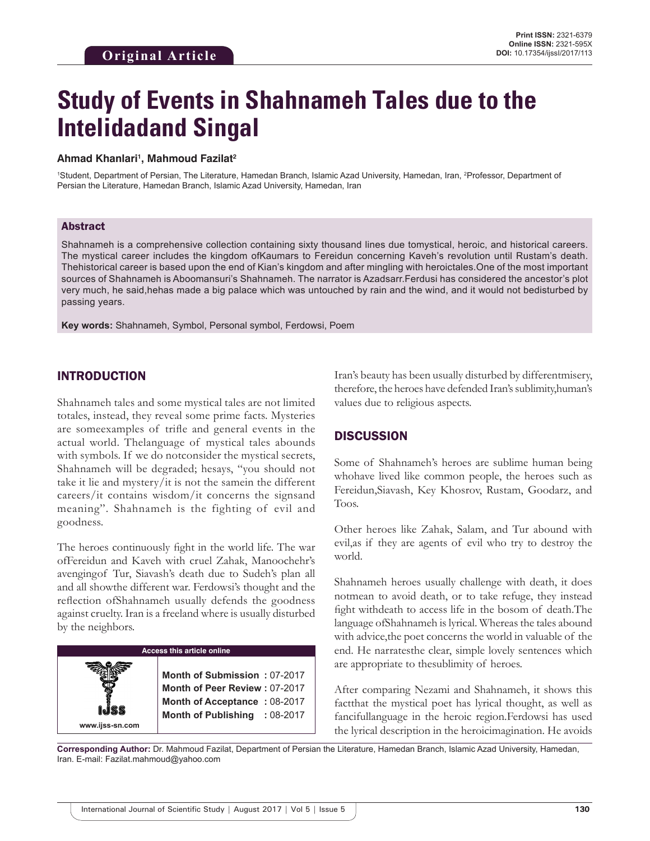# **Study of Events in Shahnameh Tales due to the Intelidadand Singal**

#### **Ahmad Khanlari1 , Mahmoud Fazilat2**

1 Student, Department of Persian, The Literature, Hamedan Branch, Islamic Azad University, Hamedan, Iran, 2 Professor, Department of Persian the Literature, Hamedan Branch, Islamic Azad University, Hamedan, Iran

#### Abstract

Shahnameh is a comprehensive collection containing sixty thousand lines due tomystical, heroic, and historical careers. The mystical career includes the kingdom ofKaumars to Fereidun concerning Kaveh's revolution until Rustam's death. Thehistorical career is based upon the end of Kian's kingdom and after mingling with heroictales.One of the most important sources of Shahnameh is Aboomansuri's Shahnameh. The narrator is Azadsarr.Ferdusi has considered the ancestor's plot very much, he said,hehas made a big palace which was untouched by rain and the wind, and it would not bedisturbed by passing years.

**Key words:** Shahnameh, Symbol, Personal symbol, Ferdowsi, Poem

## INTRODUCTION

Shahnameh tales and some mystical tales are not limited totales, instead, they reveal some prime facts. Mysteries are someexamples of trifle and general events in the actual world. Thelanguage of mystical tales abounds with symbols. If we do notconsider the mystical secrets, Shahnameh will be degraded; hesays, "you should not take it lie and mystery/it is not the samein the different careers/it contains wisdom/it concerns the signsand meaning". Shahnameh is the fighting of evil and goodness.

The heroes continuously fight in the world life. The war ofFereidun and Kaveh with cruel Zahak, Manoochehr's avengingof Tur, Siavash's death due to Sudeh's plan all and all showthe different war. Ferdowsi's thought and the reflection ofShahnameh usually defends the goodness against cruelty. Iran is a freeland where is usually disturbed by the neighbors.



Iran's beauty has been usually disturbed by differentmisery, therefore, the heroes have defended Iran's sublimity,human's values due to religious aspects.

## **DISCUSSION**

Some of Shahnameh's heroes are sublime human being whohave lived like common people, the heroes such as Fereidun,Siavash, Key Khosrov, Rustam, Goodarz, and Toos.

Other heroes like Zahak, Salam, and Tur abound with evil,as if they are agents of evil who try to destroy the world.

Shahnameh heroes usually challenge with death, it does notmean to avoid death, or to take refuge, they instead fight withdeath to access life in the bosom of death.The language ofShahnameh is lyrical. Whereas the tales abound with advice,the poet concerns the world in valuable of the end. He narratesthe clear, simple lovely sentences which are appropriate to thesublimity of heroes.

After comparing Nezami and Shahnameh, it shows this factthat the mystical poet has lyrical thought, as well as fancifullanguage in the heroic region.Ferdowsi has used the lyrical description in the heroicimagination. He avoids

**Corresponding Author:** Dr. Mahmoud Fazilat, Department of Persian the Literature, Hamedan Branch, Islamic Azad University, Hamedan, Iran. E-mail: Fazilat.mahmoud@yahoo.com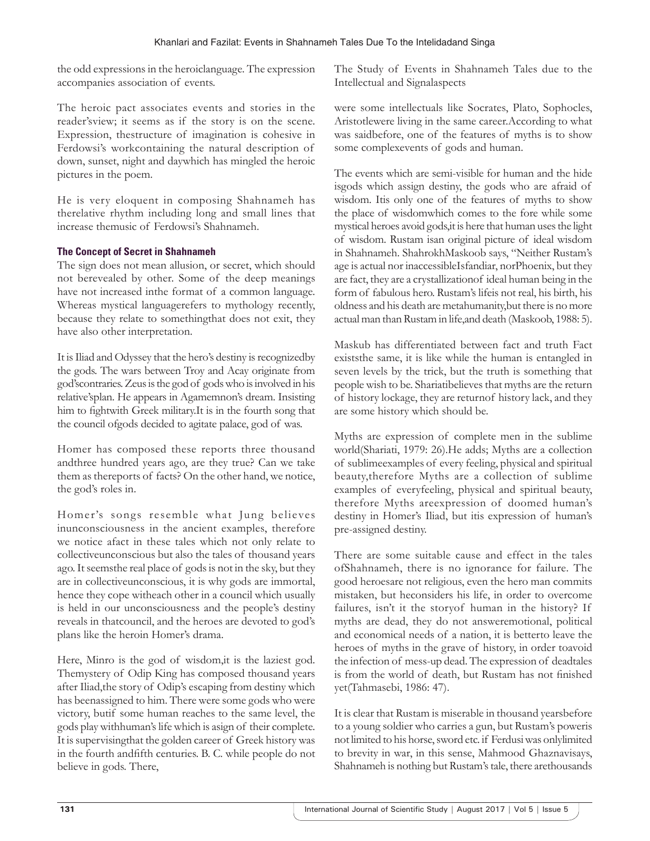the odd expressions in the heroiclanguage. The expression accompanies association of events.

The heroic pact associates events and stories in the reader'sview; it seems as if the story is on the scene. Expression, thestructure of imagination is cohesive in Ferdowsi's workcontaining the natural description of down, sunset, night and daywhich has mingled the heroic pictures in the poem.

He is very eloquent in composing Shahnameh has therelative rhythm including long and small lines that increase themusic of Ferdowsi's Shahnameh.

### **The Concept of Secret in Shahnameh**

The sign does not mean allusion, or secret, which should not berevealed by other. Some of the deep meanings have not increased inthe format of a common language. Whereas mystical languagerefers to mythology recently, because they relate to somethingthat does not exit, they have also other interpretation.

It is Iliad and Odyssey that the hero's destiny is recognizedby the gods. The wars between Troy and Acay originate from god'scontraries. Zeus is the god of gods who is involved in his relative'splan. He appears in Agamemnon's dream. Insisting him to fightwith Greek military.It is in the fourth song that the council ofgods decided to agitate palace, god of was.

Homer has composed these reports three thousand andthree hundred years ago, are they true? Can we take them as thereports of facts? On the other hand, we notice, the god's roles in.

Homer's songs resemble what Jung believes inunconsciousness in the ancient examples, therefore we notice afact in these tales which not only relate to collectiveunconscious but also the tales of thousand years ago. It seemsthe real place of gods is not in the sky, but they are in collectiveunconscious, it is why gods are immortal, hence they cope witheach other in a council which usually is held in our unconsciousness and the people's destiny reveals in thatcouncil, and the heroes are devoted to god's plans like the heroin Homer's drama.

Here, Minro is the god of wisdom, it is the laziest god. Themystery of Odip King has composed thousand years after Iliad,the story of Odip's escaping from destiny which has beenassigned to him. There were some gods who were victory, butif some human reaches to the same level, the gods play withhuman's life which is asign of their complete. It is supervisingthat the golden career of Greek history was in the fourth andfifth centuries. B. C. while people do not believe in gods. There,

The Study of Events in Shahnameh Tales due to the Intellectual and Signalaspects

were some intellectuals like Socrates, Plato, Sophocles, Aristotlewere living in the same career.According to what was saidbefore, one of the features of myths is to show some complexevents of gods and human.

The events which are semi-visible for human and the hide isgods which assign destiny, the gods who are afraid of wisdom. Itis only one of the features of myths to show the place of wisdomwhich comes to the fore while some mystical heroes avoid gods,it is here that human uses the light of wisdom. Rustam isan original picture of ideal wisdom in Shahnameh. ShahrokhMaskoob says, "Neither Rustam's age is actual nor inaccessibleIsfandiar, norPhoenix, but they are fact, they are a crystallizationof ideal human being in the form of fabulous hero. Rustam's lifeis not real, his birth, his oldness and his death are metahumanity,but there is no more actual man than Rustam in life,and death (Maskoob, 1988: 5).

Maskub has differentiated between fact and truth Fact existsthe same, it is like while the human is entangled in seven levels by the trick, but the truth is something that people wish to be. Shariatibelieves that myths are the return of history lockage, they are returnof history lack, and they are some history which should be.

Myths are expression of complete men in the sublime world(Shariati, 1979: 26).He adds; Myths are a collection of sublimeexamples of every feeling, physical and spiritual beauty,therefore Myths are a collection of sublime examples of everyfeeling, physical and spiritual beauty, therefore Myths areexpression of doomed human's destiny in Homer's Iliad, but itis expression of human's pre-assigned destiny.

There are some suitable cause and effect in the tales ofShahnameh, there is no ignorance for failure. The good heroesare not religious, even the hero man commits mistaken, but heconsiders his life, in order to overcome failures, isn't it the storyof human in the history? If myths are dead, they do not answeremotional, political and economical needs of a nation, it is betterto leave the heroes of myths in the grave of history, in order toavoid the infection of mess-up dead. The expression of deadtales is from the world of death, but Rustam has not finished yet(Tahmasebi, 1986: 47).

It is clear that Rustam is miserable in thousand yearsbefore to a young soldier who carries a gun, but Rustam's poweris not limited to his horse, sword etc. if Ferdusi was onlylimited to brevity in war, in this sense, Mahmood Ghaznavisays, Shahnameh is nothing but Rustam's tale, there arethousands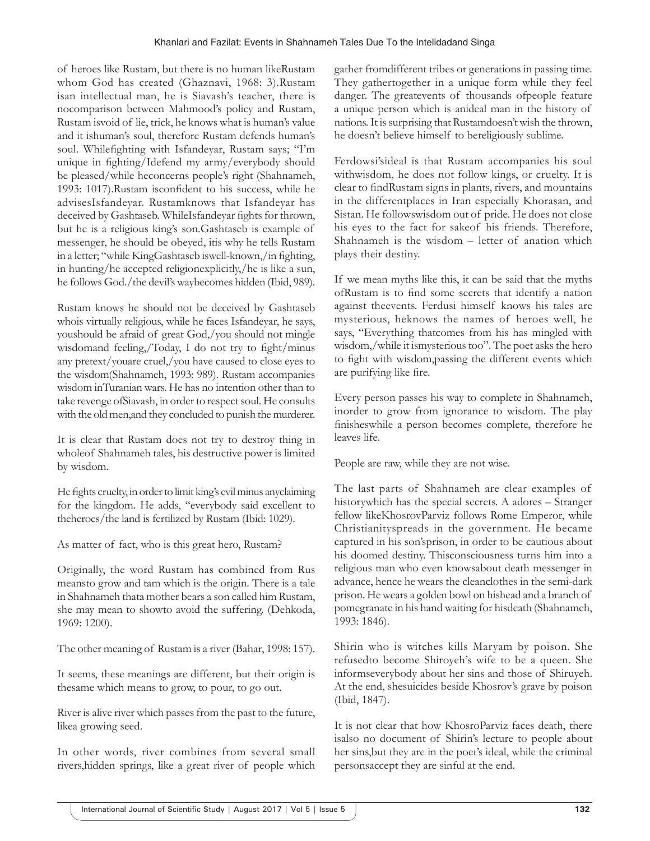of heroes like Rustam, but there is no human likeRustam whom God has created (Ghaznavi, 1968: 3).Rustam isan intellectual man, he is Siavash's teacher, there is nocomparison between Mahmood's policy and Rustam, Rustam isvoid of lie, trick, he knows what is human's value and it ishuman's soul, therefore Rustam defends human's soul. Whilefighting with Isfandeyar, Rustam says; "I'm unique in fighting/Idefend my army/everybody should be pleased/while heconcerns people's right (Shahnameh, 1993: 1017).Rustam isconfident to his success, while he advisesIsfandeyar. Rustamknows that Isfandeyar has deceived by Gashtaseb. WhileIsfandeyar fights for thrown, but he is a religious king's son.Gashtaseb is example of messenger, he should be obeyed, itis why he tells Rustam in a letter; "while KingGashtaseb iswell-known,/in fighting, in hunting/he accepted religionexplicitly,/he is like a sun, he follows God./the devil's waybecomes hidden (Ibid, 989).

Rustam knows he should not be deceived by Gashtaseb whois virtually religious, while he faces Isfandeyar, he says, youshould be afraid of great God,/you should not mingle wisdomand feeling,/Today, I do not try to fight/minus any pretext/youare cruel,/you have caused to close eyes to the wisdom(Shahnameh, 1993: 989). Rustam accompanies wisdom inTuranian wars. He has no intention other than to take revenge ofSiavash, in order to respect soul. He consults with the old men,and they concluded to punish the murderer.

It is clear that Rustam does not try to destroy thing in wholeof Shahnameh tales, his destructive power is limited by wisdom.

He fights cruelty, in order to limit king's evil minus anyclaiming for the kingdom. He adds, "everybody said excellent to theheroes/the land is fertilized by Rustam (Ibid: 1029).

As matter of fact, who is this great hero, Rustam?

Originally, the word Rustam has combined from Rus meansto grow and tam which is the origin. There is a tale in Shahnameh thata mother bears a son called him Rustam, she may mean to showto avoid the suffering. (Dehkoda, 1969: 1200).

The other meaning of Rustam is a river (Bahar, 1998: 157).

It seems, these meanings are different, but their origin is thesame which means to grow, to pour, to go out.

River is alive river which passes from the past to the future, likea growing seed.

In other words, river combines from several small rivers,hidden springs, like a great river of people which gather fromdifferent tribes or generations in passing time. They gathertogether in a unique form while they feel danger. The greatevents of thousands ofpeople feature a unique person which is anideal man in the history of nations. It is surprising that Rustamdoesn't wish the thrown, he doesn't believe himself to bereligiously sublime.

Ferdowsi'sideal is that Rustam accompanies his soul withwisdom, he does not follow kings, or cruelty. It is clear to findRustam signs in plants, rivers, and mountains in the differentplaces in Iran especially Khorasan, and Sistan. He followswisdom out of pride. He does not close his eyes to the fact for sakeof his friends. Therefore, Shahnameh is the wisdom – letter of anation which plays their destiny.

If we mean myths like this, it can be said that the myths ofRustam is to find some secrets that identify a nation against theevents. Ferdusi himself knows his tales are mysterious, heknows the names of heroes well, he says, "Everything thatcomes from his has mingled with wisdom,/while it ismysterious too". The poet asks the hero to fight with wisdom,passing the different events which are purifying like fire.

Every person passes his way to complete in Shahnameh, inorder to grow from ignorance to wisdom. The play finisheswhile a person becomes complete, therefore he leaves life.

People are raw, while they are not wise.

The last parts of Shahnameh are clear examples of historywhich has the special secrets. A adores – Stranger fellow likeKhosrovParviz follows Rome Emperor, while Christianityspreads in the government. He became captured in his son'sprison, in order to be cautious about his doomed destiny. Thisconsciousness turns him into a religious man who even knowsabout death messenger in advance, hence he wears the cleanclothes in the semi-dark prison. He wears a golden bowl on hishead and a branch of pomegranate in his hand waiting for hisdeath (Shahnameh, 1993: 1846).

Shirin who is witches kills Maryam by poison. She refusedto become Shiroyeh's wife to be a queen. She informseverybody about her sins and those of Shiruyeh. At the end, shesuicides beside Khosrov's grave by poison (Ibid, 1847).

It is not clear that how KhosroParviz faces death, there isalso no document of Shirin's lecture to people about her sins,but they are in the poet's ideal, while the criminal personsaccept they are sinful at the end.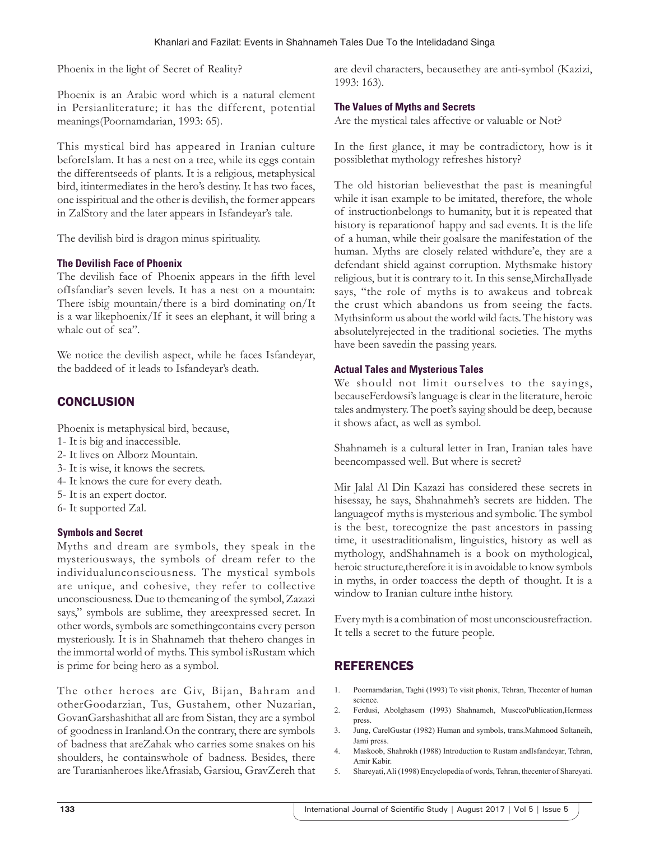Phoenix in the light of Secret of Reality?

Phoenix is an Arabic word which is a natural element in Persianliterature; it has the different, potential meanings(Poornamdarian, 1993: 65).

This mystical bird has appeared in Iranian culture beforeIslam. It has a nest on a tree, while its eggs contain the differentseeds of plants. It is a religious, metaphysical bird, itintermediates in the hero's destiny. It has two faces, one isspiritual and the other is devilish, the former appears in ZalStory and the later appears in Isfandeyar's tale.

The devilish bird is dragon minus spirituality.

#### **The Devilish Face of Phoenix**

The devilish face of Phoenix appears in the fifth level ofIsfandiar's seven levels. It has a nest on a mountain: There isbig mountain/there is a bird dominating on/It is a war likephoenix/If it sees an elephant, it will bring a whale out of sea".

We notice the devilish aspect, while he faces Isfandeyar, the baddeed of it leads to Isfandeyar's death.

# **CONCLUSION**

Phoenix is metaphysical bird, because,

- 1- It is big and inaccessible.
- 2- It lives on Alborz Mountain.
- 3- It is wise, it knows the secrets.
- 4- It knows the cure for every death.
- 5- It is an expert doctor.
- 6- It supported Zal.

#### **Symbols and Secret**

Myths and dream are symbols, they speak in the mysteriousways, the symbols of dream refer to the individualunconsciousness. The mystical symbols are unique, and cohesive, they refer to collective unconsciousness. Due to themeaning of the symbol, Zazazi says," symbols are sublime, they areexpressed secret. In other words, symbols are somethingcontains every person mysteriously. It is in Shahnameh that thehero changes in the immortal world of myths. This symbol isRustam which is prime for being hero as a symbol.

The other heroes are Giv, Bijan, Bahram and otherGoodarzian, Tus, Gustahem, other Nuzarian, GovanGarshashithat all are from Sistan, they are a symbol of goodness in Iranland.On the contrary, there are symbols of badness that areZahak who carries some snakes on his shoulders, he containswhole of badness. Besides, there are Turanianheroes likeAfrasiab, Garsiou, GravZereh that

are devil characters, becausethey are anti-symbol (Kazizi, 1993: 163).

#### **The Values of Myths and Secrets**

Are the mystical tales affective or valuable or Not?

In the first glance, it may be contradictory, how is it possiblethat mythology refreshes history?

The old historian believesthat the past is meaningful while it isan example to be imitated, therefore, the whole of instructionbelongs to humanity, but it is repeated that history is reparationof happy and sad events. It is the life of a human, while their goalsare the manifestation of the human. Myths are closely related withdure'e, they are a defendant shield against corruption. Mythsmake history religious, but it is contrary to it. In this sense,MirchaIlyade says, "the role of myths is to awakeus and tobreak the crust which abandons us from seeing the facts. Mythsinform us about the world wild facts. The history was absolutelyrejected in the traditional societies. The myths have been savedin the passing years.

#### **Actual Tales and Mysterious Tales**

We should not limit ourselves to the sayings, becauseFerdowsi's language is clear in the literature, heroic tales andmystery. The poet's saying should be deep, because it shows afact, as well as symbol.

Shahnameh is a cultural letter in Iran, Iranian tales have beencompassed well. But where is secret?

Mir Jalal Al Din Kazazi has considered these secrets in hisessay, he says, Shahnahmeh's secrets are hidden. The languageof myths is mysterious and symbolic. The symbol is the best, torecognize the past ancestors in passing time, it usestraditionalism, linguistics, history as well as mythology, andShahnameh is a book on mythological, heroic structure,therefore it is in avoidable to know symbols in myths, in order toaccess the depth of thought. It is a window to Iranian culture inthe history.

Every myth is a combination of most unconsciousrefraction. It tells a secret to the future people.

# **REFERENCES**

- 1. Poornamdarian, Taghi (1993) To visit phonix, Tehran, Thecenter of human science.
- 2. Ferdusi, Abolghasem (1993) Shahnameh, MusccoPublication,Hermess press.
- 3. Jung, CarelGustar (1982) Human and symbols, trans.Mahmood Soltaneih, Jami press.
- 4. Maskoob, Shahrokh (1988) Introduction to Rustam andIsfandeyar, Tehran, Amir Kabir.
- 5. Shareyati, Ali (1998) Encyclopedia of words, Tehran, thecenter of Shareyati.